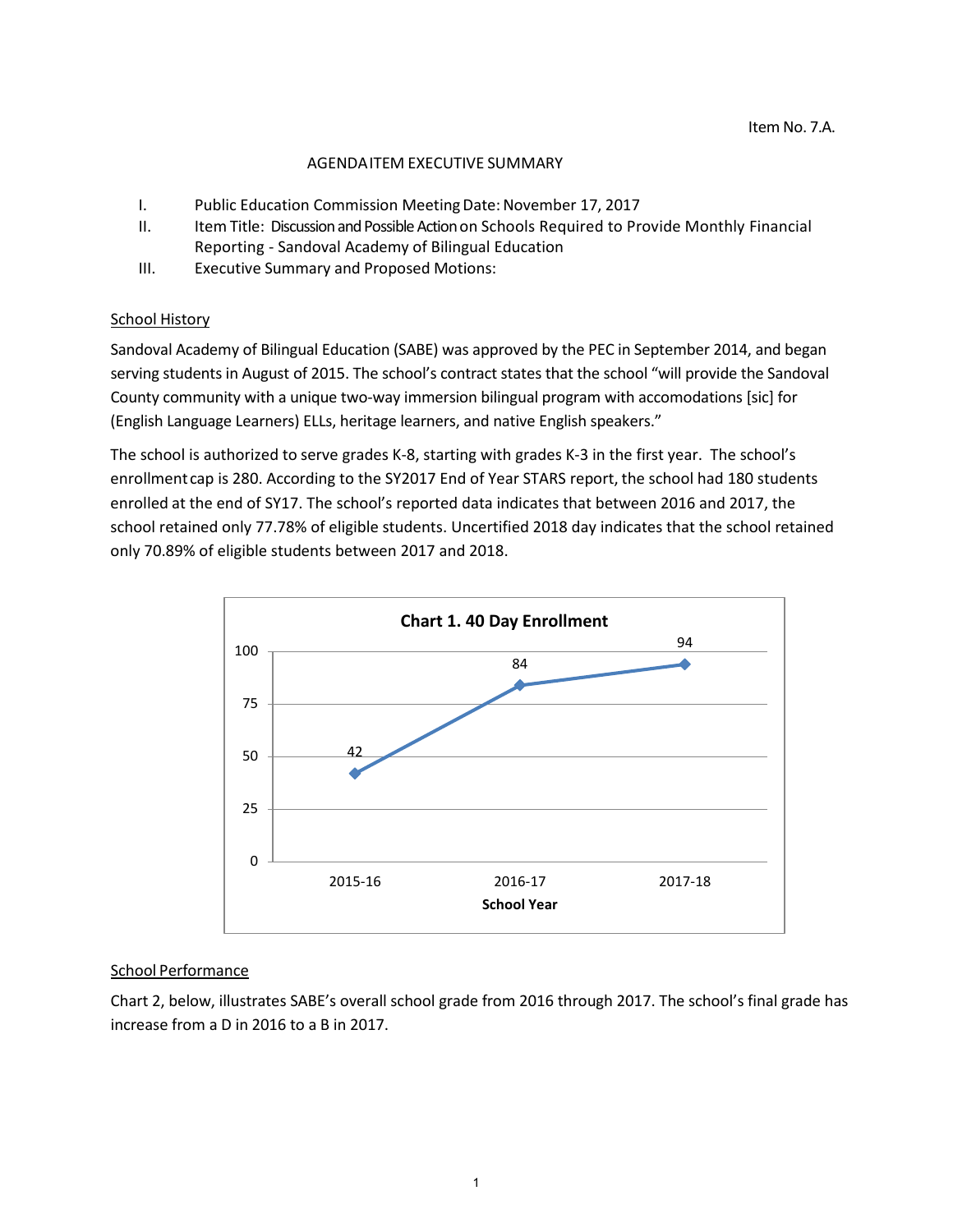#### AGENDAITEM EXECUTIVE SUMMARY

- I. Public Education Commission Meeting Date: November 17, 2017
- II. Item Title: Discussion and Possible Action on Schools Required to Provide Monthly Financial Reporting - Sandoval Academy of Bilingual Education
- III. Executive Summary and Proposed Motions:

#### School History

Sandoval Academy of Bilingual Education (SABE) was approved by the PEC in September 2014, and began serving students in August of 2015. The school's contract states that the school "will provide the Sandoval County community with a unique two-way immersion bilingual program with accomodations [sic] for (English Language Learners) ELLs, heritage learners, and native English speakers."

The school is authorized to serve grades K-8, starting with grades K-3 in the first year. The school's enrollment cap is 280. According to the SY2017 End of Year STARS report, the school had 180 students enrolled at the end of SY17. The school's reported data indicates that between 2016 and 2017, the school retained only 77.78% of eligible students. Uncertified 2018 day indicates that the school retained only 70.89% of eligible students between 2017 and 2018.



#### School Performance

Chart 2, below, illustrates SABE's overall school grade from 2016 through 2017. The school's final grade has increase from a D in 2016 to a B in 2017.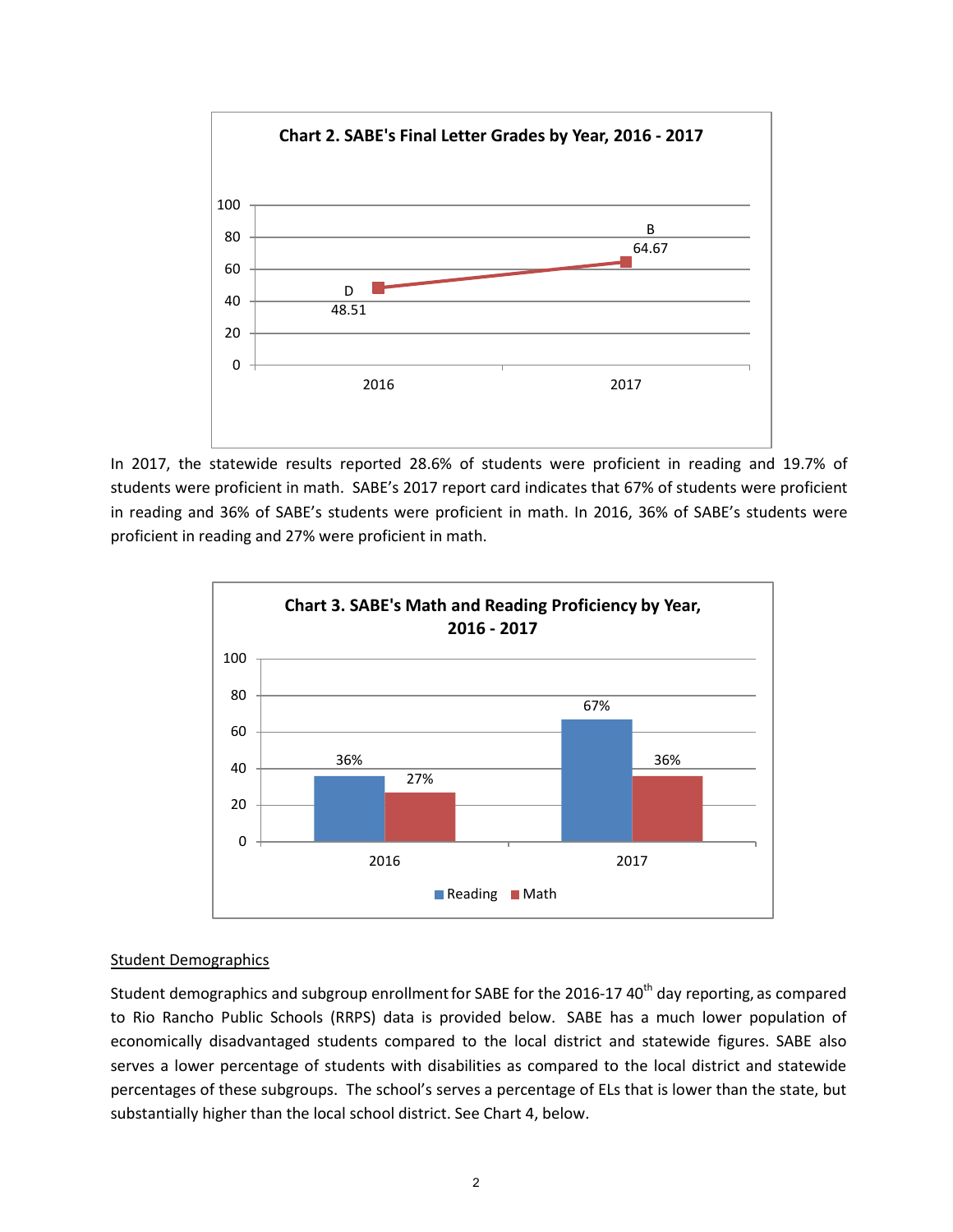

In 2017, the statewide results reported 28.6% of students were proficient in reading and 19.7% of students were proficient in math. SABE's 2017 report card indicates that 67% of students were proficient in reading and 36% of SABE's students were proficient in math. In 2016, 36% of SABE's students were proficient in reading and 27% were proficient in math.



# Student Demographics

Student demographics and subgroup enrollment for SABE for the 2016-17  $40<sup>th</sup>$  day reporting, as compared to Rio Rancho Public Schools (RRPS) data is provided below. SABE has a much lower population of economically disadvantaged students compared to the local district and statewide figures. SABE also serves a lower percentage of students with disabilities as compared to the local district and statewide percentages of these subgroups. The school's serves a percentage of ELs that is lower than the state, but substantially higher than the local school district. See Chart 4, below.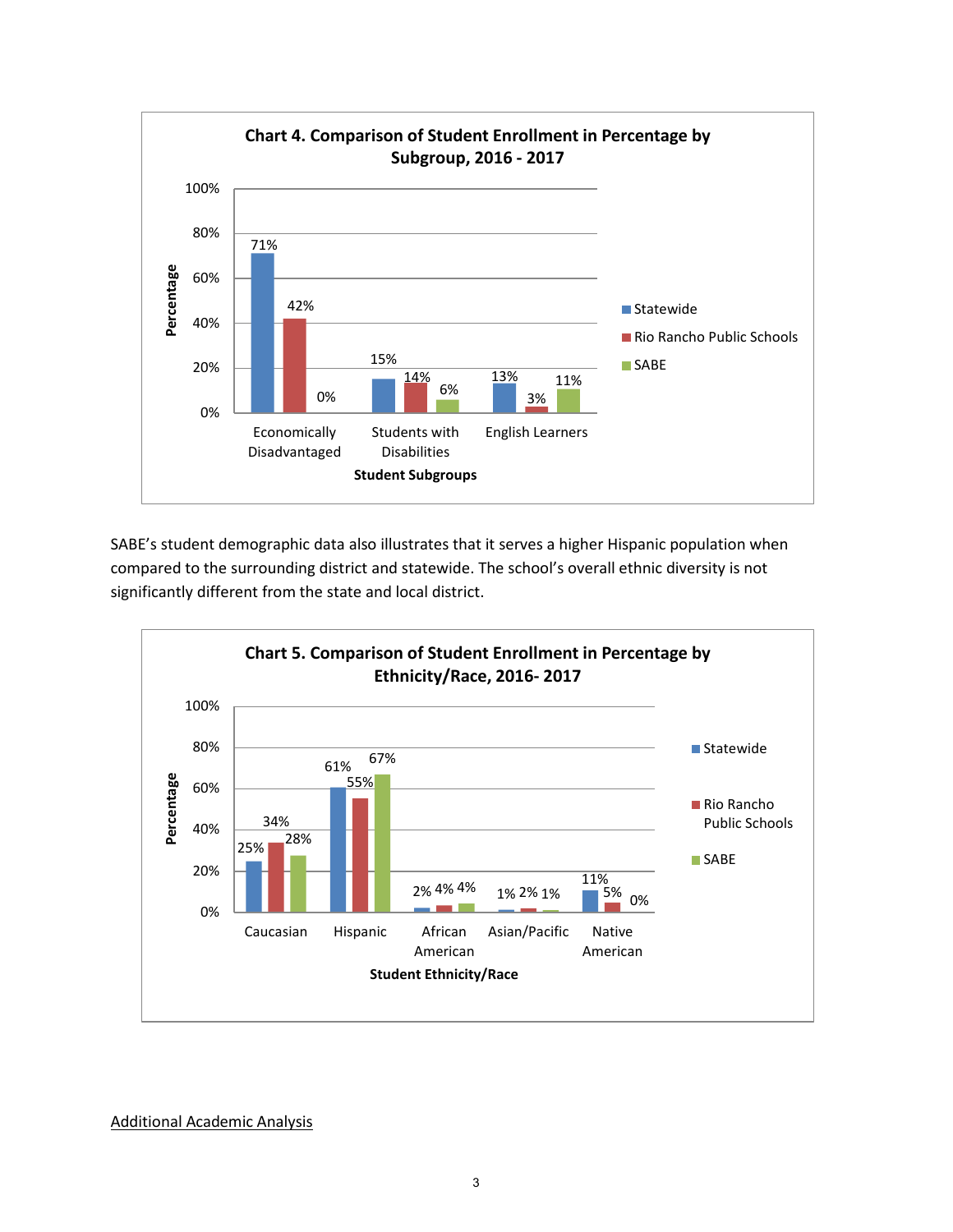

SABE's student demographic data also illustrates that it serves a higher Hispanic population when compared to the surrounding district and statewide. The school's overall ethnic diversity is not significantly different from the state and local district.



## Additional Academic Analysis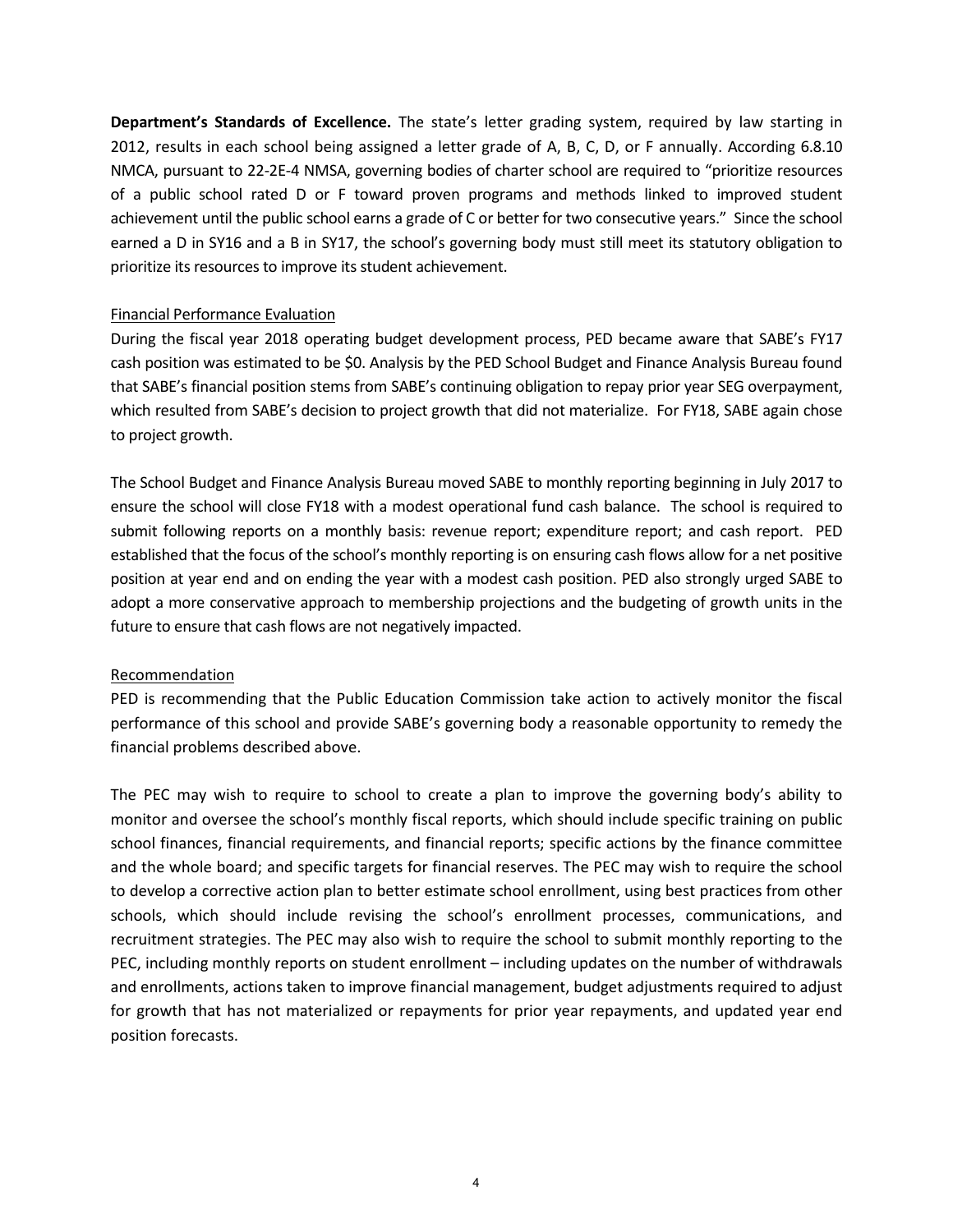**Department's Standards of Excellence.** The state's letter grading system, required by law starting in 2012, results in each school being assigned a letter grade of A, B, C, D, or F annually. According 6.8.10 NMCA, pursuant to 22-2E-4 NMSA, governing bodies of charter school are required to "prioritize resources of a public school rated D or F toward proven programs and methods linked to improved student achievement until the public school earns a grade of C or better for two consecutive years." Since the school earned a D in SY16 and a B in SY17, the school's governing body must still meet its statutory obligation to prioritize its resources to improve its student achievement.

#### Financial Performance Evaluation

During the fiscal year 2018 operating budget development process, PED became aware that SABE's FY17 cash position was estimated to be \$0. Analysis by the PED School Budget and Finance Analysis Bureau found that SABE's financial position stems from SABE's continuing obligation to repay prior year SEG overpayment, which resulted from SABE's decision to project growth that did not materialize. For FY18, SABE again chose to project growth.

The School Budget and Finance Analysis Bureau moved SABE to monthly reporting beginning in July 2017 to ensure the school will close FY18 with a modest operational fund cash balance. The school is required to submit following reports on a monthly basis: revenue report; expenditure report; and cash report. PED established that the focus of the school's monthly reporting is on ensuring cash flows allow for a net positive position at year end and on ending the year with a modest cash position. PED also strongly urged SABE to adopt a more conservative approach to membership projections and the budgeting of growth units in the future to ensure that cash flows are not negatively impacted.

## Recommendation

PED is recommending that the Public Education Commission take action to actively monitor the fiscal performance of this school and provide SABE's governing body a reasonable opportunity to remedy the financial problems described above.

The PEC may wish to require to school to create a plan to improve the governing body's ability to monitor and oversee the school's monthly fiscal reports, which should include specific training on public school finances, financial requirements, and financial reports; specific actions by the finance committee and the whole board; and specific targets for financial reserves. The PEC may wish to require the school to develop a corrective action plan to better estimate school enrollment, using best practices from other schools, which should include revising the school's enrollment processes, communications, and recruitment strategies. The PEC may also wish to require the school to submit monthly reporting to the PEC, including monthly reports on student enrollment – including updates on the number of withdrawals and enrollments, actions taken to improve financial management, budget adjustments required to adjust for growth that has not materialized or repayments for prior year repayments, and updated year end position forecasts.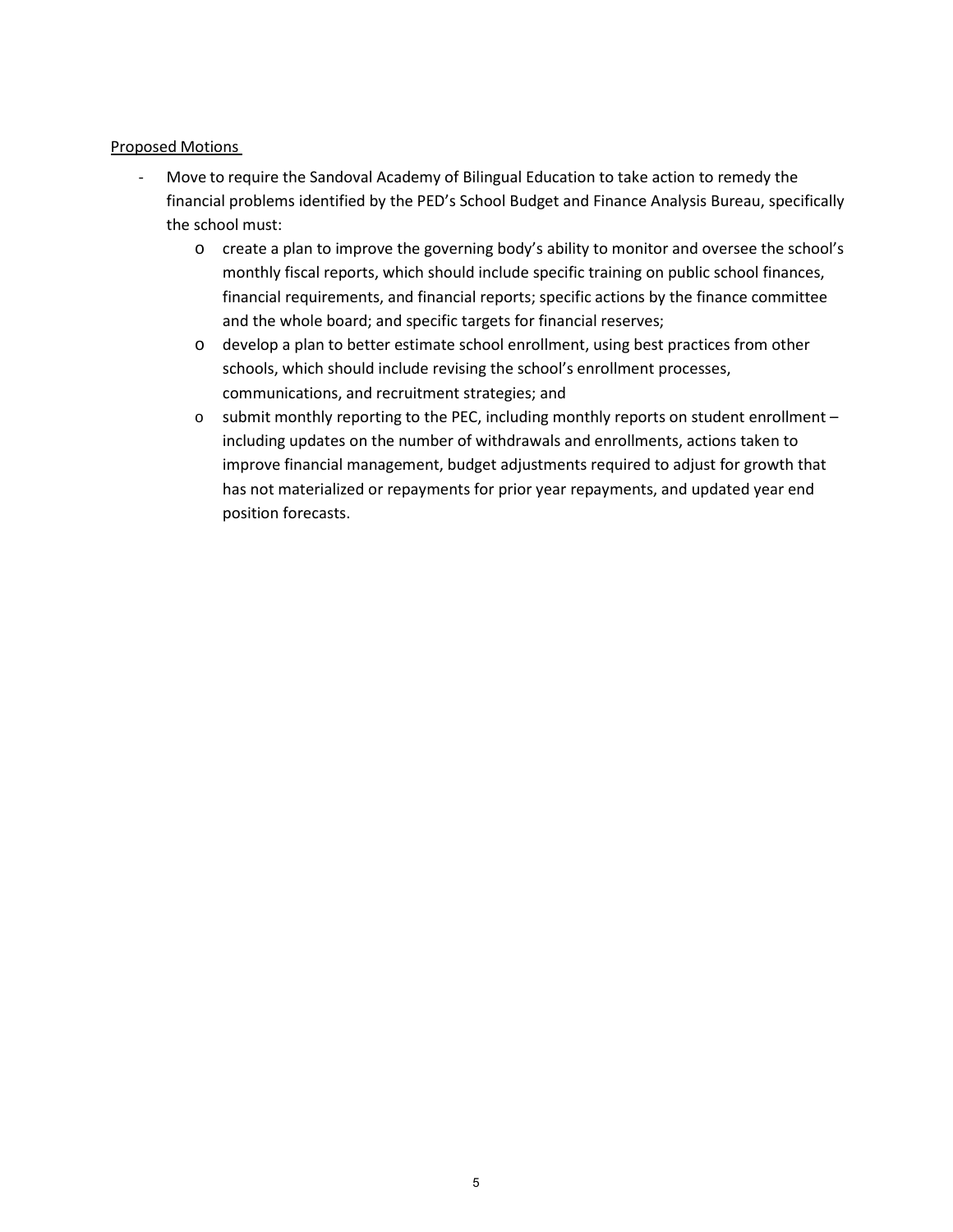# Proposed Motions

- Move to require the Sandoval Academy of Bilingual Education to take action to remedy the financial problems identified by the PED's School Budget and Finance Analysis Bureau, specifically the school must:
	- o create a plan to improve the governing body's ability to monitor and oversee the school's monthly fiscal reports, which should include specific training on public school finances, financial requirements, and financial reports; specific actions by the finance committee and the whole board; and specific targets for financial reserves;
	- o develop a plan to better estimate school enrollment, using best practices from other schools, which should include revising the school's enrollment processes, communications, and recruitment strategies; and
	- $\circ$  submit monthly reporting to the PEC, including monthly reports on student enrollment including updates on the number of withdrawals and enrollments, actions taken to improve financial management, budget adjustments required to adjust for growth that has not materialized or repayments for prior year repayments, and updated year end position forecasts.